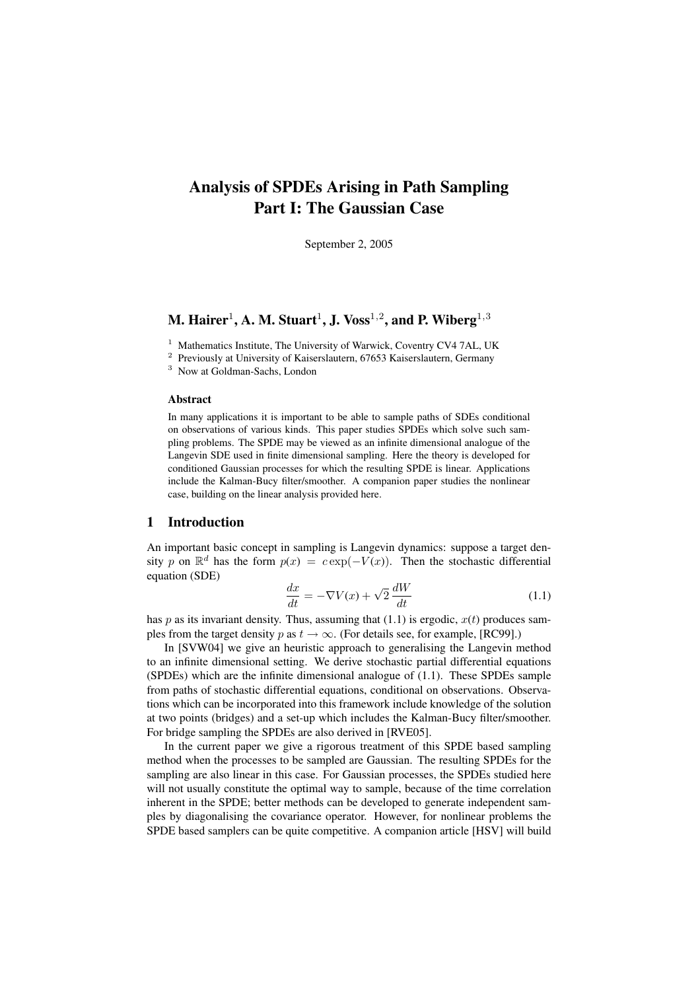# Analysis of SPDEs Arising in Path Sampling Part I: The Gaussian Case

September 2, 2005

## M. Hairer $^1$ , A. M. Stuart $^1$ , J. Voss $^{1,2}$ , and P. Wiberg $^{1,3}$

<sup>1</sup> Mathematics Institute, The University of Warwick, Coventry CV4 7AL, UK

<sup>2</sup> Previously at University of Kaiserslautern, 67653 Kaiserslautern, Germany

<sup>3</sup> Now at Goldman-Sachs, London

## Abstract

In many applications it is important to be able to sample paths of SDEs conditional on observations of various kinds. This paper studies SPDEs which solve such sampling problems. The SPDE may be viewed as an infinite dimensional analogue of the Langevin SDE used in finite dimensional sampling. Here the theory is developed for conditioned Gaussian processes for which the resulting SPDE is linear. Applications include the Kalman-Bucy filter/smoother. A companion paper studies the nonlinear case, building on the linear analysis provided here.

## 1 Introduction

An important basic concept in sampling is Langevin dynamics: suppose a target density p on  $\mathbb{R}^d$  has the form  $p(x) = c \exp(-V(x))$ . Then the stochastic differential equation (SDE)

$$
\frac{dx}{dt} = -\nabla V(x) + \sqrt{2} \frac{dW}{dt}
$$
\n(1.1)

has p as its invariant density. Thus, assuming that  $(1.1)$  is ergodic,  $x(t)$  produces samples from the target density p as  $t \to \infty$ . (For details see, for example, [RC99].)

In [SVW04] we give an heuristic approach to generalising the Langevin method to an infinite dimensional setting. We derive stochastic partial differential equations (SPDEs) which are the infinite dimensional analogue of (1.1). These SPDEs sample from paths of stochastic differential equations, conditional on observations. Observations which can be incorporated into this framework include knowledge of the solution at two points (bridges) and a set-up which includes the Kalman-Bucy filter/smoother. For bridge sampling the SPDEs are also derived in [RVE05].

In the current paper we give a rigorous treatment of this SPDE based sampling method when the processes to be sampled are Gaussian. The resulting SPDEs for the sampling are also linear in this case. For Gaussian processes, the SPDEs studied here will not usually constitute the optimal way to sample, because of the time correlation inherent in the SPDE; better methods can be developed to generate independent samples by diagonalising the covariance operator. However, for nonlinear problems the SPDE based samplers can be quite competitive. A companion article [HSV] will build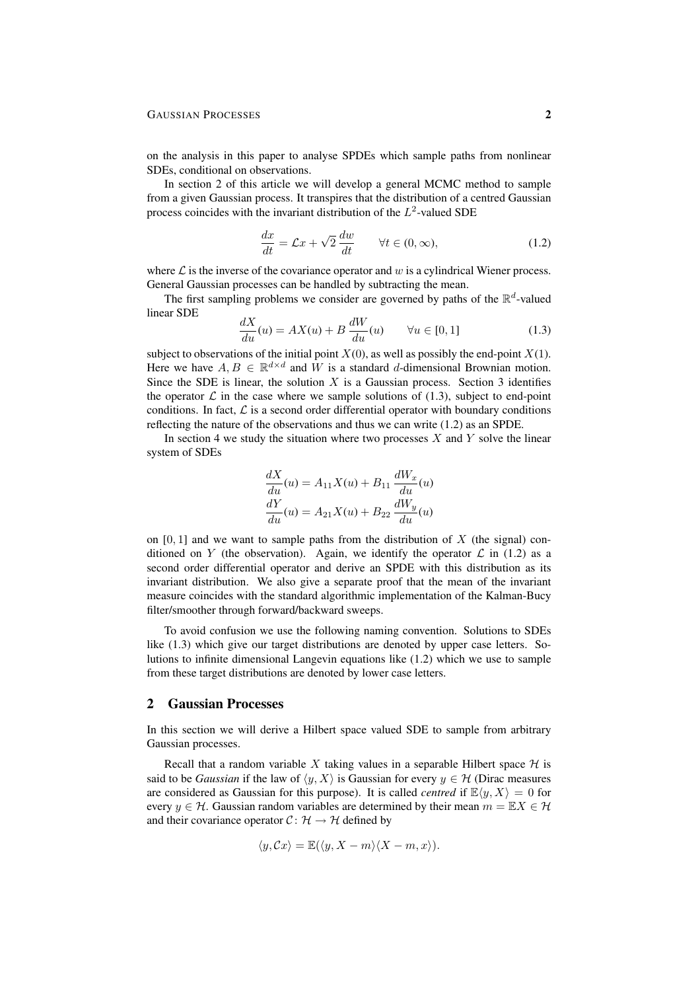#### GAUSSIAN PROCESSES 2

on the analysis in this paper to analyse SPDEs which sample paths from nonlinear SDEs, conditional on observations.

In section 2 of this article we will develop a general MCMC method to sample from a given Gaussian process. It transpires that the distribution of a centred Gaussian process coincides with the invariant distribution of the  $L^2$ -valued SDE

$$
\frac{dx}{dt} = \mathcal{L}x + \sqrt{2}\frac{dw}{dt} \qquad \forall t \in (0, \infty), \tag{1.2}
$$

where  $\mathcal L$  is the inverse of the covariance operator and w is a cylindrical Wiener process. General Gaussian processes can be handled by subtracting the mean.

The first sampling problems we consider are governed by paths of the  $\mathbb{R}^d$ -valued linear SDE

$$
\frac{dX}{du}(u) = AX(u) + B\frac{dW}{du}(u) \qquad \forall u \in [0,1]
$$
\n(1.3)

subject to observations of the initial point  $X(0)$ , as well as possibly the end-point  $X(1)$ . Here we have  $A, B \in \mathbb{R}^{d \times d}$  and W is a standard d-dimensional Brownian motion. Since the SDE is linear, the solution  $X$  is a Gaussian process. Section 3 identifies the operator  $\mathcal L$  in the case where we sample solutions of (1.3), subject to end-point conditions. In fact,  $\mathcal L$  is a second order differential operator with boundary conditions reflecting the nature of the observations and thus we can write (1.2) as an SPDE.

In section 4 we study the situation where two processes  $X$  and  $Y$  solve the linear system of SDEs

$$
\frac{dX}{du}(u) = A_{11}X(u) + B_{11}\frac{dW_x}{du}(u)
$$

$$
\frac{dY}{du}(u) = A_{21}X(u) + B_{22}\frac{dW_y}{du}(u)
$$

on  $[0, 1]$  and we want to sample paths from the distribution of X (the signal) conditioned on Y (the observation). Again, we identify the operator  $\mathcal L$  in (1.2) as a second order differential operator and derive an SPDE with this distribution as its invariant distribution. We also give a separate proof that the mean of the invariant measure coincides with the standard algorithmic implementation of the Kalman-Bucy filter/smoother through forward/backward sweeps.

To avoid confusion we use the following naming convention. Solutions to SDEs like (1.3) which give our target distributions are denoted by upper case letters. Solutions to infinite dimensional Langevin equations like (1.2) which we use to sample from these target distributions are denoted by lower case letters.

### 2 Gaussian Processes

In this section we will derive a Hilbert space valued SDE to sample from arbitrary Gaussian processes.

Recall that a random variable X taking values in a separable Hilbert space  $H$  is said to be *Gaussian* if the law of  $\langle y, X \rangle$  is Gaussian for every  $y \in \mathcal{H}$  (Dirac measures are considered as Gaussian for this purpose). It is called *centred* if  $\mathbb{E}\langle y, X \rangle = 0$  for every  $y \in H$ . Gaussian random variables are determined by their mean  $m = \mathbb{E} X \in H$ . and their covariance operator  $C: \mathcal{H} \to \mathcal{H}$  defined by

$$
\langle y, \mathcal{C}x \rangle = \mathbb{E}(\langle y, X - m \rangle \langle X - m, x \rangle).
$$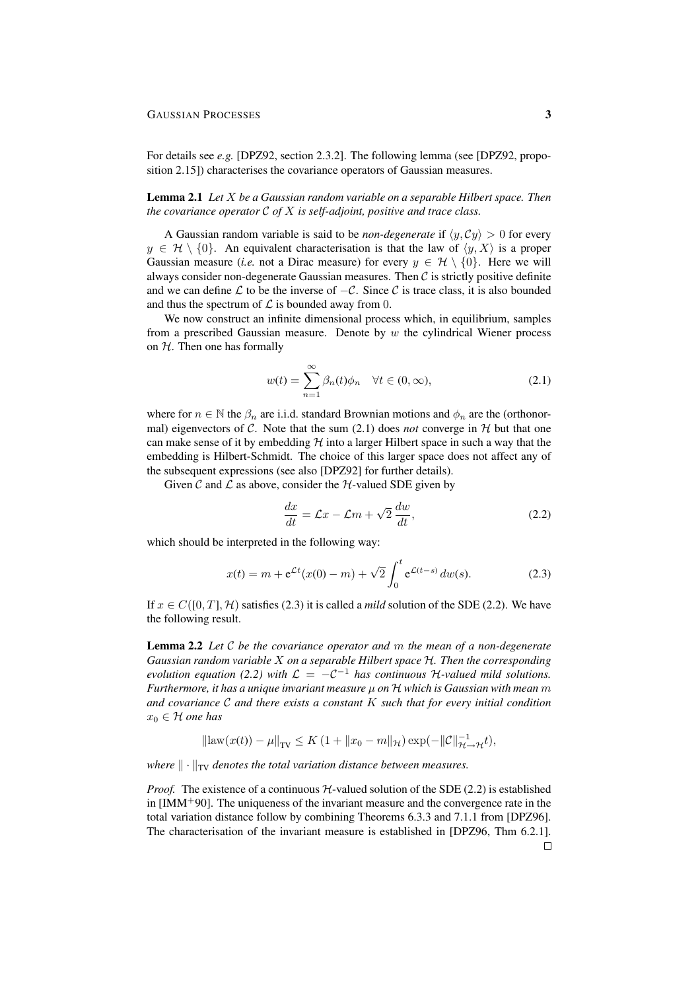For details see *e.g.* [DPZ92, section 2.3.2]. The following lemma (see [DPZ92, proposition 2.15]) characterises the covariance operators of Gaussian measures.

## Lemma 2.1 *Let* X *be a Gaussian random variable on a separable Hilbert space. Then the covariance operator* C *of* X *is self-adjoint, positive and trace class.*

A Gaussian random variable is said to be *non-degenerate* if  $\langle y, Cy \rangle > 0$  for every  $y \in \mathcal{H} \setminus \{0\}$ . An equivalent characterisation is that the law of  $\langle y, X \rangle$  is a proper Gaussian measure (*i.e.* not a Dirac measure) for every  $y \in \mathcal{H} \setminus \{0\}$ . Here we will always consider non-degenerate Gaussian measures. Then  $C$  is strictly positive definite and we can define  $\mathcal L$  to be the inverse of  $-\mathcal C$ . Since  $\mathcal C$  is trace class, it is also bounded and thus the spectrum of  $\mathcal L$  is bounded away from 0.

We now construct an infinite dimensional process which, in equilibrium, samples from a prescribed Gaussian measure. Denote by  $w$  the cylindrical Wiener process on  $H$ . Then one has formally

$$
w(t) = \sum_{n=1}^{\infty} \beta_n(t)\phi_n \quad \forall t \in (0, \infty),
$$
 (2.1)

where for  $n \in \mathbb{N}$  the  $\beta_n$  are i.i.d. standard Brownian motions and  $\phi_n$  are the (orthonormal) eigenvectors of C. Note that the sum  $(2.1)$  does *not* converge in H but that one can make sense of it by embedding  $H$  into a larger Hilbert space in such a way that the embedding is Hilbert-Schmidt. The choice of this larger space does not affect any of the subsequent expressions (see also [DPZ92] for further details).

Given C and  $\mathcal L$  as above, consider the  $\mathcal H$ -valued SDE given by

$$
\frac{dx}{dt} = \mathcal{L}x - \mathcal{L}m + \sqrt{2}\frac{dw}{dt},\tag{2.2}
$$

which should be interpreted in the following way:

$$
x(t) = m + e^{\mathcal{L}t}(x(0) - m) + \sqrt{2} \int_0^t e^{\mathcal{L}(t-s)} dw(s).
$$
 (2.3)

If  $x \in C([0, T], \mathcal{H})$  satisfies (2.3) it is called a *mild* solution of the SDE (2.2). We have the following result.

Lemma 2.2 *Let* C *be the covariance operator and* m *the mean of a non-degenerate Gaussian random variable* X *on a separable Hilbert space* H*. Then the corresponding evolution equation (2.2) with*  $\mathcal{L} = -\mathcal{C}^{-1}$  *has continuous* H-valued mild solutions. *Furthermore, it has a unique invariant measure* µ *on* H *which is Gaussian with mean* m *and covariance* C *and there exists a constant* K *such that for every initial condition*  $x_0 \in H$  *one has* 

$$
\|\text{law}(x(t)) - \mu\|_{\text{TV}} \le K \left(1 + \|x_0 - m\|_{\mathcal{H}}\right) \exp(-\|\mathcal{C}\|_{\mathcal{H}\to\mathcal{H}}^{-1} t),
$$

*where*  $\|\cdot\|_{TV}$  *denotes the total variation distance between measures.* 

*Proof.* The existence of a continuous  $H$ -valued solution of the SDE (2.2) is established in  $[IMM<sup>+</sup>90]$ . The uniqueness of the invariant measure and the convergence rate in the total variation distance follow by combining Theorems 6.3.3 and 7.1.1 from [DPZ96]. The characterisation of the invariant measure is established in [DPZ96, Thm 6.2.1].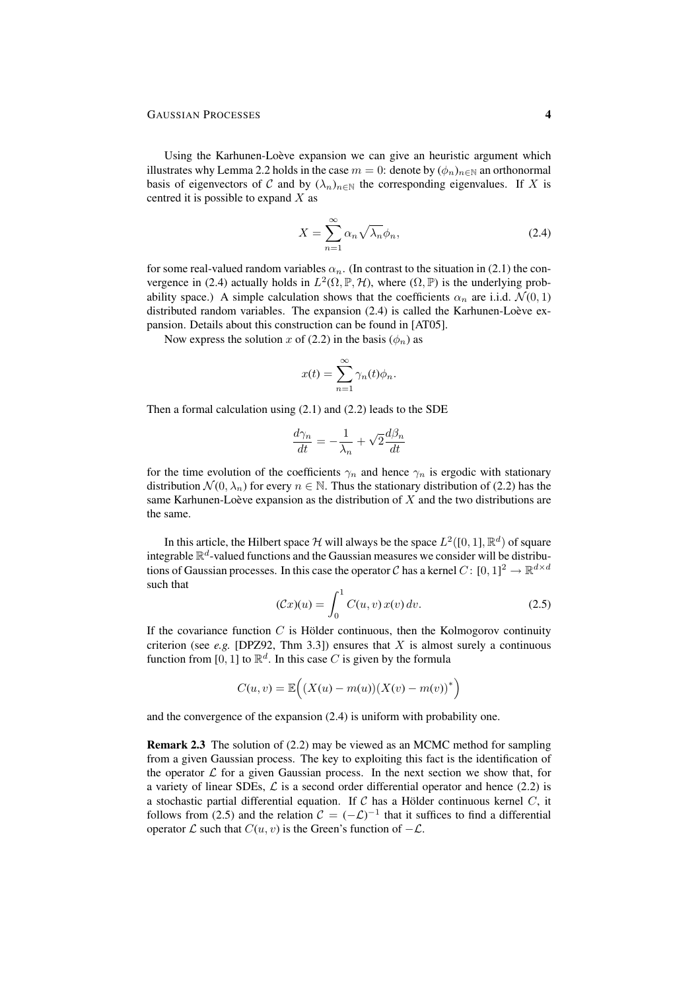Using the Karhunen-Loève expansion we can give an heuristic argument which illustrates why Lemma 2.2 holds in the case  $m = 0$ : denote by  $(\phi_n)_{n \in \mathbb{N}}$  an orthonormal basis of eigenvectors of C and by  $(\lambda_n)_{n \in \mathbb{N}}$  the corresponding eigenvalues. If X is centred it is possible to expand  $X$  as

$$
X = \sum_{n=1}^{\infty} \alpha_n \sqrt{\lambda_n} \phi_n,
$$
 (2.4)

for some real-valued random variables  $\alpha_n$ . (In contrast to the situation in (2.1) the convergence in (2.4) actually holds in  $L^2(\Omega, \mathbb{P}, \mathcal{H})$ , where  $(\Omega, \mathbb{P})$  is the underlying probability space.) A simple calculation shows that the coefficients  $\alpha_n$  are i.i.d.  $\mathcal{N}(0, 1)$ distributed random variables. The expansion  $(2.4)$  is called the Karhunen-Loève expansion. Details about this construction can be found in [AT05].

Now express the solution x of (2.2) in the basis ( $\phi_n$ ) as

$$
x(t) = \sum_{n=1}^{\infty} \gamma_n(t)\phi_n.
$$

Then a formal calculation using (2.1) and (2.2) leads to the SDE

$$
\frac{d\gamma_n}{dt} = -\frac{1}{\lambda_n} + \sqrt{2} \frac{d\beta_n}{dt}
$$

for the time evolution of the coefficients  $\gamma_n$  and hence  $\gamma_n$  is ergodic with stationary distribution  $\mathcal{N}(0, \lambda_n)$  for every  $n \in \mathbb{N}$ . Thus the stationary distribution of (2.2) has the same Karhunen-Loève expansion as the distribution of  $X$  and the two distributions are the same.

In this article, the Hilbert space H will always be the space  $L^2([0,1], \mathbb{R}^d)$  of square integrable  $\mathbb{R}^d$ -valued functions and the Gaussian measures we consider will be distributions of Gaussian processes. In this case the operator C has a kernel  $C: [0, 1]^2 \to \mathbb{R}^{d \times d}$ such that

$$
(\mathcal{C}x)(u) = \int_0^1 C(u, v) x(v) dv.
$$
 (2.5)

If the covariance function  $C$  is Hölder continuous, then the Kolmogorov continuity criterion (see *e.g.* [DPZ92, Thm 3.3]) ensures that  $X$  is almost surely a continuous function from [0, 1] to  $\mathbb{R}^d$ . In this case C is given by the formula

$$
C(u, v) = \mathbb{E}\Big(\big(X(u) - m(u)\big)\big(X(v) - m(v)\big)^*\Big)
$$

and the convergence of the expansion (2.4) is uniform with probability one.

Remark 2.3 The solution of (2.2) may be viewed as an MCMC method for sampling from a given Gaussian process. The key to exploiting this fact is the identification of the operator  $\mathcal L$  for a given Gaussian process. In the next section we show that, for a variety of linear SDEs,  $\mathcal L$  is a second order differential operator and hence (2.2) is a stochastic partial differential equation. If C has a Hölder continuous kernel  $C$ , it follows from (2.5) and the relation  $C = (-C)^{-1}$  that it suffices to find a differential operator  $\mathcal L$  such that  $C(u, v)$  is the Green's function of  $-\mathcal L$ .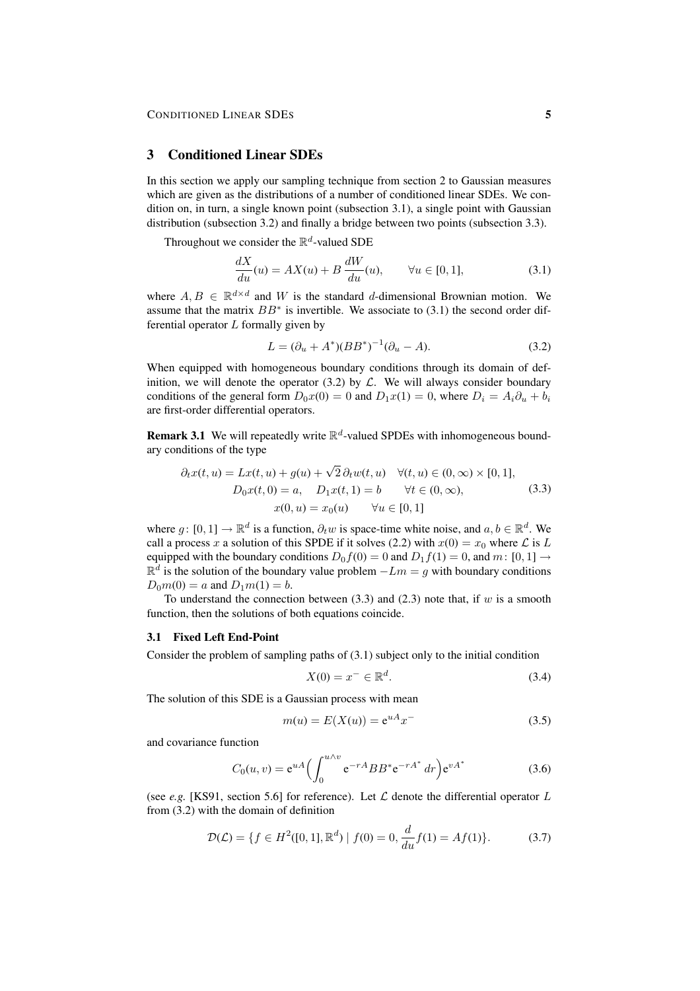## 3 Conditioned Linear SDEs

In this section we apply our sampling technique from section 2 to Gaussian measures which are given as the distributions of a number of conditioned linear SDEs. We condition on, in turn, a single known point (subsection 3.1), a single point with Gaussian distribution (subsection 3.2) and finally a bridge between two points (subsection 3.3).

Throughout we consider the  $\mathbb{R}^d$ -valued SDE

$$
\frac{dX}{du}(u) = AX(u) + B\frac{dW}{du}(u), \qquad \forall u \in [0,1], \tag{3.1}
$$

where  $A, B \in \mathbb{R}^{d \times d}$  and W is the standard d-dimensional Brownian motion. We assume that the matrix  $BB^*$  is invertible. We associate to (3.1) the second order differential operator  $L$  formally given by

$$
L = (\partial_u + A^*)(BB^*)^{-1}(\partial_u - A).
$$
 (3.2)

When equipped with homogeneous boundary conditions through its domain of definition, we will denote the operator  $(3.2)$  by  $\mathcal{L}$ . We will always consider boundary conditions of the general form  $D_0x(0) = 0$  and  $D_1x(1) = 0$ , where  $D_i = A_i\partial_{u_i} + b_i$ are first-order differential operators.

**Remark 3.1** We will repeatedly write  $\mathbb{R}^d$ -valued SPDEs with inhomogeneous boundary conditions of the type

$$
\partial_t x(t, u) = Lx(t, u) + g(u) + \sqrt{2} \partial_t w(t, u) \quad \forall (t, u) \in (0, \infty) \times [0, 1],
$$
  
\n
$$
D_0 x(t, 0) = a, \quad D_1 x(t, 1) = b \quad \forall t \in (0, \infty),
$$
  
\n
$$
x(0, u) = x_0(u) \quad \forall u \in [0, 1]
$$
\n(3.3)

where  $g: [0, 1] \to \mathbb{R}^d$  is a function,  $\partial_t w$  is space-time white noise, and  $a, b \in \mathbb{R}^d$ . We call a process x a solution of this SPDE if it solves (2.2) with  $x(0) = x_0$  where L is L equipped with the boundary conditions  $D_0 f(0) = 0$  and  $D_1 f(1) = 0$ , and  $m: [0, 1] \rightarrow$  $\mathbb{R}^d$  is the solution of the boundary value problem  $-Lm = g$  with boundary conditions  $D_0m(0) = a$  and  $D_1m(1) = b$ .

To understand the connection between  $(3.3)$  and  $(2.3)$  note that, if w is a smooth function, then the solutions of both equations coincide.

## 3.1 Fixed Left End-Point

Consider the problem of sampling paths of (3.1) subject only to the initial condition

$$
X(0) = x^- \in \mathbb{R}^d. \tag{3.4}
$$

The solution of this SDE is a Gaussian process with mean

$$
m(u) = E(X(u)) = e^{uA}x^{-}
$$
\n(3.5)

and covariance function

$$
C_0(u,v) = e^{uA} \left( \int_0^{u \wedge v} e^{-rA} B B^* e^{-rA^*} dr \right) e^{vA^*}
$$
 (3.6)

(see *e.g.* [KS91, section 5.6] for reference). Let  $\mathcal L$  denote the differential operator  $L$ from (3.2) with the domain of definition

$$
\mathcal{D}(\mathcal{L}) = \{ f \in H^2([0, 1], \mathbb{R}^d) \mid f(0) = 0, \frac{d}{du} f(1) = Af(1) \}. \tag{3.7}
$$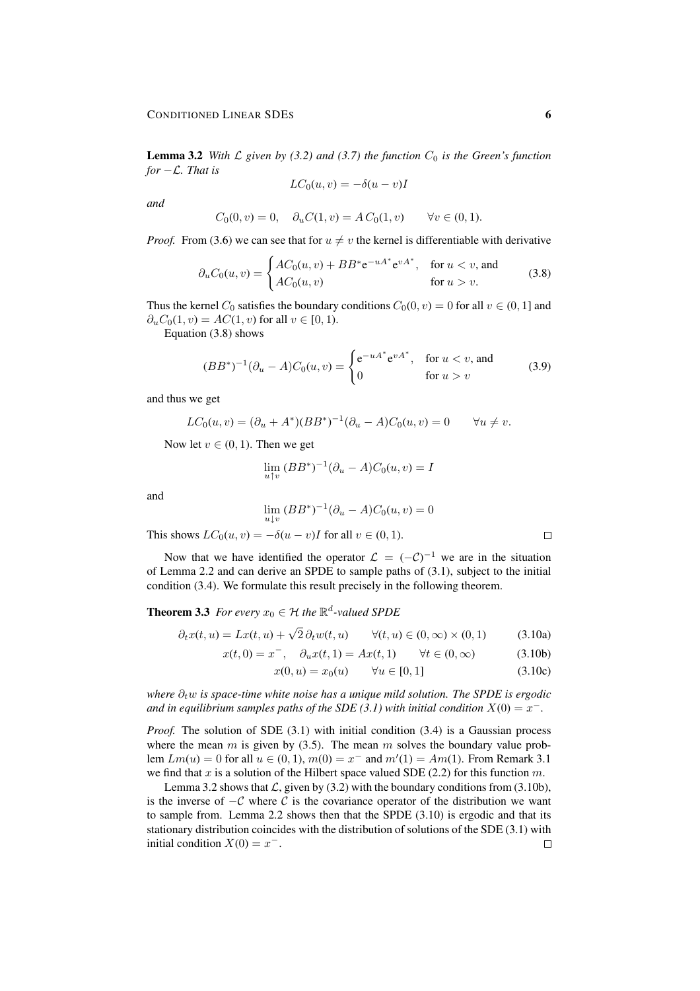**Lemma 3.2** *With*  $\mathcal{L}$  *given by (3.2) and (3.7) the function*  $C_0$  *is the Green's function for* −L*. That is*

$$
LC_0(u,v) = -\delta(u-v)I
$$

*and*

$$
C_0(0, v) = 0, \quad \partial_u C(1, v) = A C_0(1, v) \qquad \forall v \in (0, 1).
$$

*Proof.* From (3.6) we can see that for  $u \neq v$  the kernel is differentiable with derivative

$$
\partial_u C_0(u, v) = \begin{cases} AC_0(u, v) + BB^* e^{-uA^*} e^{vA^*}, & \text{for } u < v, \text{ and} \\ AC_0(u, v) & \text{for } u > v. \end{cases}
$$
(3.8)

Thus the kernel  $C_0$  satisfies the boundary conditions  $C_0(0, v) = 0$  for all  $v \in (0, 1]$  and  $\partial_u C_0(1, v) = AC(1, v)$  for all  $v \in [0, 1)$ .

Equation (3.8) shows

$$
(BB^*)^{-1}(\partial_u - A)C_0(u, v) = \begin{cases} e^{-uA^*}e^{vA^*}, & \text{for } u < v, \text{ and} \\ 0 & \text{for } u > v \end{cases}
$$
 (3.9)

and thus we get

$$
LC_0(u, v) = (\partial_u + A^*)(BB^*)^{-1}(\partial_u - A)C_0(u, v) = 0 \qquad \forall u \neq v.
$$

Now let  $v \in (0, 1)$ . Then we get

$$
\lim_{u \uparrow v} (BB^*)^{-1} (\partial_u - A) C_0(u, v) = I
$$

and

$$
\lim_{u \downarrow v} (BB^*)^{-1} (\partial_u - A) C_0(u, v) = 0
$$

This shows  $LC_0(u, v) = -\delta(u - v)I$  for all  $v \in (0, 1)$ .

Now that we have identified the operator  $\mathcal{L} = (-\mathcal{C})^{-1}$  we are in the situation of Lemma 2.2 and can derive an SPDE to sample paths of (3.1), subject to the initial condition (3.4). We formulate this result precisely in the following theorem.

**Theorem 3.3** For every  $x_0 \in \mathcal{H}$  the  $\mathbb{R}^d$ -valued SPDE

$$
\partial_t x(t, u) = Lx(t, u) + \sqrt{2} \partial_t w(t, u) \qquad \forall (t, u) \in (0, \infty) \times (0, 1) \tag{3.10a}
$$

$$
x(t, 0) = x^{-}
$$
,  $\partial_{u} x(t, 1) = Ax(t, 1)$   $\forall t \in (0, \infty)$  (3.10b)

$$
x(0, u) = x_0(u) \qquad \forall u \in [0, 1]
$$
 (3.10c)

*where*  $∂<sub>t</sub>w$  *is space-time white noise has a unique mild solution. The SPDE is ergodic* and in equilibrium samples paths of the SDE (3.1) with initial condition  $X(0) = x^{-}$ .

*Proof.* The solution of SDE (3.1) with initial condition (3.4) is a Gaussian process where the mean m is given by  $(3.5)$ . The mean m solves the boundary value problem  $Lm(u) = 0$  for all  $u \in (0, 1)$ ,  $m(0) = x^{-}$  and  $m'(1) = Am(1)$ . From Remark 3.1 we find that x is a solution of the Hilbert space valued SDE (2.2) for this function  $m$ .

Lemma 3.2 shows that  $\mathcal{L}$ , given by (3.2) with the boundary conditions from (3.10b), is the inverse of  $-C$  where C is the covariance operator of the distribution we want to sample from. Lemma 2.2 shows then that the SPDE (3.10) is ergodic and that its stationary distribution coincides with the distribution of solutions of the SDE (3.1) with initial condition  $X(0) = x^{-}$ .  $\Box$ 

 $\Box$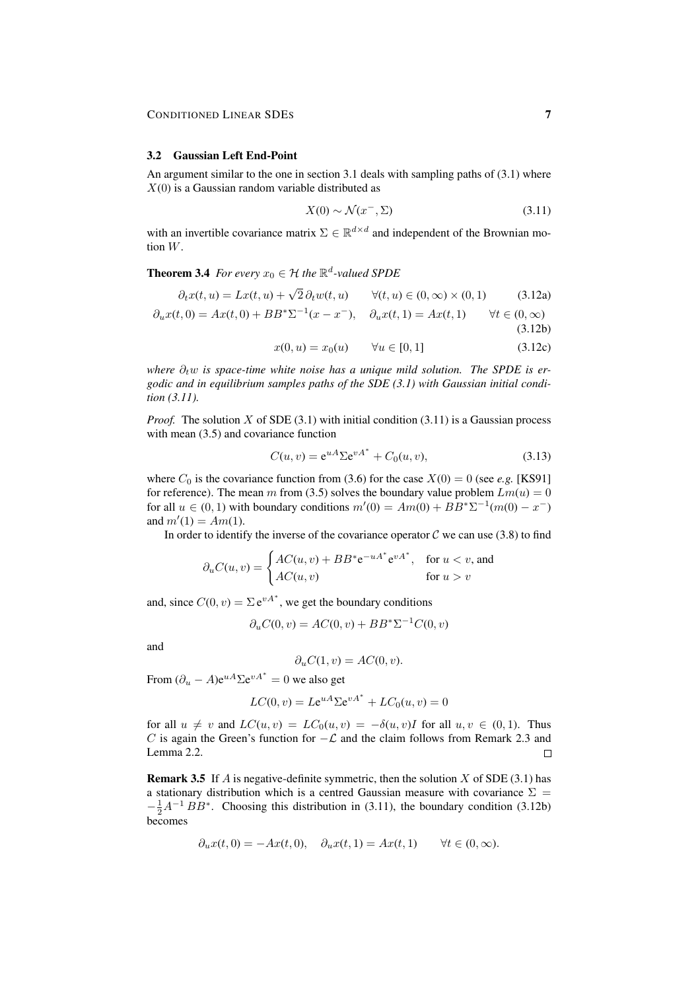#### 3.2 Gaussian Left End-Point

An argument similar to the one in section 3.1 deals with sampling paths of (3.1) where  $X(0)$  is a Gaussian random variable distributed as

$$
X(0) \sim \mathcal{N}(x^-, \Sigma) \tag{3.11}
$$

with an invertible covariance matrix  $\Sigma \in \mathbb{R}^{d \times d}$  and independent of the Brownian motion W.

**Theorem 3.4** *For every*  $x_0 \in \mathcal{H}$  *the*  $\mathbb{R}^d$ -valued SPDE

$$
\partial_t x(t, u) = Lx(t, u) + \sqrt{2} \partial_t w(t, u) \qquad \forall (t, u) \in (0, \infty) \times (0, 1) \tag{3.12a}
$$

$$
\partial_u x(t,0) = Ax(t,0) + BB^* \Sigma^{-1} (x - x^-), \quad \partial_u x(t,1) = Ax(t,1) \qquad \forall t \in (0,\infty)
$$
\n(3.12b)

$$
x(0, u) = x_0(u) \qquad \forall u \in [0, 1] \tag{3.12c}
$$

*where*  $\partial_t w$  *is space-time white noise has a unique mild solution. The SPDE is ergodic and in equilibrium samples paths of the SDE (3.1) with Gaussian initial condition (3.11).*

*Proof.* The solution X of SDE (3.1) with initial condition (3.11) is a Gaussian process with mean  $(3.5)$  and covariance function

$$
C(u, v) = e^{uA} \Sigma e^{vA^*} + C_0(u, v), \qquad (3.13)
$$

where  $C_0$  is the covariance function from (3.6) for the case  $X(0) = 0$  (see *e.g.* [KS91] for reference). The mean m from (3.5) solves the boundary value problem  $Lm(u) = 0$ for all  $u \in (0, 1)$  with boundary conditions  $m'(0) = Am(0) + BB^* \Sigma^{-1}(m(0) - x^-)$ and  $m'(1) = Am(1)$ .

In order to identify the inverse of the covariance operator  $\mathcal C$  we can use (3.8) to find

$$
\partial_u C(u, v) = \begin{cases} AC(u, v) + BB^* e^{-uA^*} e^{vA^*}, & \text{for } u < v, \text{ and} \\ AC(u, v) & \text{for } u > v \end{cases}
$$

and, since  $C(0, v) = \sum e^{vA^*}$ , we get the boundary conditions

$$
\partial_u C(0, v) = AC(0, v) + BB^* \Sigma^{-1} C(0, v)
$$

and

$$
\partial_u C(1, v) = AC(0, v).
$$

From  $(\partial_u - A) e^{uA} \Sigma e^{vA^*} = 0$  we also get

$$
LC(0, v) = Le^{uA} \Sigma e^{vA^*} + LC_0(u, v) = 0
$$

for all  $u \neq v$  and  $LC(u, v) = LC_0(u, v) = -\delta(u, v)I$  for all  $u, v \in (0, 1)$ . Thus C is again the Green's function for  $-\mathcal{L}$  and the claim follows from Remark 2.3 and Lemma 2.2.  $\Box$ 

**Remark 3.5** If A is negative-definite symmetric, then the solution X of SDE  $(3.1)$  has a stationary distribution which is a centred Gaussian measure with covariance  $\Sigma =$  $-\frac{1}{2}A^{-1}BB^*$ . Choosing this distribution in (3.11), the boundary condition (3.12b) becomes

$$
\partial_u x(t,0) = -Ax(t,0), \quad \partial_u x(t,1) = Ax(t,1) \qquad \forall t \in (0,\infty).
$$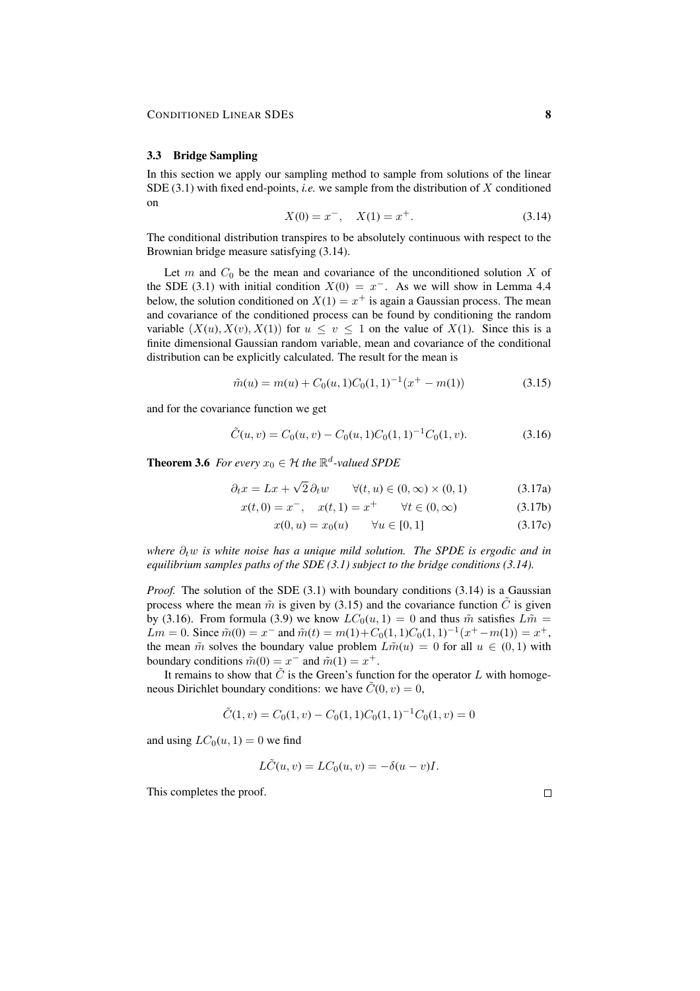#### 3.3 Bridge Sampling

In this section we apply our sampling method to sample from solutions of the linear SDE  $(3.1)$  with fixed end-points, *i.e.* we sample from the distribution of X conditioned on

$$
X(0) = x^{-}, \quad X(1) = x^{+}.
$$
\n(3.14)

The conditional distribution transpires to be absolutely continuous with respect to the Brownian bridge measure satisfying (3.14).

Let  $m$  and  $C_0$  be the mean and covariance of the unconditioned solution  $X$  of the SDE (3.1) with initial condition  $X(0) = x^{-}$ . As we will show in Lemma 4.4 below, the solution conditioned on  $X(1) = x^+$  is again a Gaussian process. The mean and covariance of the conditioned process can be found by conditioning the random variable  $(X(u), X(v), X(1))$  for  $u \le v \le 1$  on the value of  $X(1)$ . Since this is a finite dimensional Gaussian random variable, mean and covariance of the conditional distribution can be explicitly calculated. The result for the mean is

$$
\tilde{m}(u) = m(u) + C_0(u, 1)C_0(1, 1)^{-1}(x^+ - m(1))
$$
\n(3.15)

and for the covariance function we get

$$
\tilde{C}(u,v) = C_0(u,v) - C_0(u,1)C_0(1,1)^{-1}C_0(1,v).
$$
\n(3.16)

**Theorem 3.6** For every  $x_0 \in \mathcal{H}$  the  $\mathbb{R}^d$ -valued SPDE

$$
\partial_t x = Lx + \sqrt{2} \, \partial_t w \qquad \forall (t, u) \in (0, \infty) \times (0, 1) \tag{3.17a}
$$

$$
x(t,0) = x^{-}, \quad x(t,1) = x^{+} \qquad \forall t \in (0,\infty)
$$
 (3.17b)

$$
x(0, u) = x_0(u) \qquad \forall u \in [0, 1] \tag{3.17c}
$$

*where*  $\partial_t w$  *is white noise has a unique mild solution. The SPDE is ergodic and in equilibrium samples paths of the SDE (3.1) subject to the bridge conditions (3.14).*

*Proof.* The solution of the SDE (3.1) with boundary conditions (3.14) is a Gaussian process where the mean  $\tilde{m}$  is given by (3.15) and the covariance function  $\tilde{C}$  is given by (3.16). From formula (3.9) we know  $LC_0(u, 1) = 0$  and thus  $\tilde{m}$  satisfies  $L\tilde{m} =$ Lm = 0. Since  $\tilde{m}(0) = x^-$  and  $\tilde{m}(t) = m(1) + C_0(1, 1)C_0(1, 1)^{-1}(x^+ - m(1)) = x^+,$ the mean  $\tilde{m}$  solves the boundary value problem  $L\tilde{m}(u) = 0$  for all  $u \in (0,1)$  with boundary conditions  $\tilde{m}(0) = x^-$  and  $\tilde{m}(1) = x^+$ .

It remains to show that  $\tilde{C}$  is the Green's function for the operator L with homogeneous Dirichlet boundary conditions: we have  $\tilde{C}(0, v) = 0$ ,

$$
\tilde{C}(1, v) = C_0(1, v) - C_0(1, 1)C_0(1, 1)^{-1}C_0(1, v) = 0
$$

and using  $LC_0(u, 1) = 0$  we find

$$
L\tilde{C}(u,v) = LC_0(u,v) = -\delta(u-v)I.
$$

This completes the proof.

 $\Box$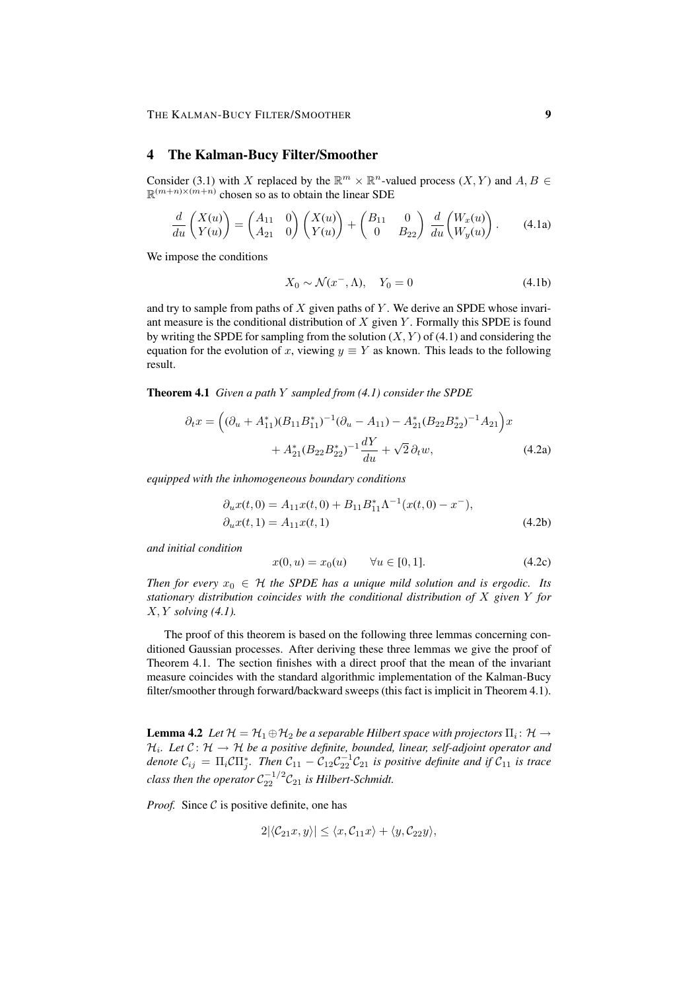## 4 The Kalman-Bucy Filter/Smoother

Consider (3.1) with X replaced by the  $\mathbb{R}^m \times \mathbb{R}^n$ -valued process  $(X, Y)$  and  $A, B \in$  $\mathbb{R}^{(m+n)\times(m+n)}$  chosen so as to obtain the linear SDE

$$
\frac{d}{du}\begin{pmatrix} X(u) \\ Y(u) \end{pmatrix} = \begin{pmatrix} A_{11} & 0 \\ A_{21} & 0 \end{pmatrix} \begin{pmatrix} X(u) \\ Y(u) \end{pmatrix} + \begin{pmatrix} B_{11} & 0 \\ 0 & B_{22} \end{pmatrix} \frac{d}{du} \begin{pmatrix} W_x(u) \\ W_y(u) \end{pmatrix}.
$$
 (4.1a)

We impose the conditions

$$
X_0 \sim \mathcal{N}(x^-, \Lambda), \quad Y_0 = 0 \tag{4.1b}
$$

and try to sample from paths of  $X$  given paths of  $Y$ . We derive an SPDE whose invariant measure is the conditional distribution of  $X$  given  $Y$ . Formally this SPDE is found by writing the SPDE for sampling from the solution  $(X, Y)$  of (4.1) and considering the equation for the evolution of x, viewing  $y \equiv Y$  as known. This leads to the following result.

Theorem 4.1 *Given a path* Y *sampled from (4.1) consider the SPDE*

$$
\partial_t x = \left( (\partial_u + A_{11}^*)(B_{11}B_{11}^*)^{-1}(\partial_u - A_{11}) - A_{21}^*(B_{22}B_{22}^*)^{-1}A_{21} \right) x \n+ A_{21}^*(B_{22}B_{22}^*)^{-1}\frac{dY}{du} + \sqrt{2}\,\partial_t w,
$$
\n(4.2a)

*equipped with the inhomogeneous boundary conditions*

$$
\partial_u x(t,0) = A_{11}x(t,0) + B_{11}B_{11}^* \Lambda^{-1} (x(t,0) - x^-),
$$
  
\n
$$
\partial_u x(t,1) = A_{11}x(t,1)
$$
\n(4.2b)

*and initial condition*

$$
x(0, u) = x_0(u) \qquad \forall u \in [0, 1]. \tag{4.2c}
$$

*Then for every*  $x_0 \in H$  *the SPDE has a unique mild solution and is ergodic. Its stationary distribution coincides with the conditional distribution of* X *given* Y *for* X, Y *solving (4.1).*

The proof of this theorem is based on the following three lemmas concerning conditioned Gaussian processes. After deriving these three lemmas we give the proof of Theorem 4.1. The section finishes with a direct proof that the mean of the invariant measure coincides with the standard algorithmic implementation of the Kalman-Bucy filter/smoother through forward/backward sweeps (this fact is implicit in Theorem 4.1).

**Lemma 4.2** Let  $\mathcal{H} = \mathcal{H}_1 \oplus \mathcal{H}_2$  be a separable Hilbert space with projectors  $\Pi_i : \mathcal{H} \to$  $\mathcal{H}_i$ . Let  $\mathcal{C} \colon \mathcal{H} \to \mathcal{H}$  be a positive definite, bounded, linear, self-adjoint operator and *denote*  $C_{ij} = \Pi_i C \Pi_j^*$ . Then  $C_{11} - C_{12} C_{22}^{-1} C_{21}$  is positive definite and if  $C_{11}$  is trace  $\emph{class}$  then the operator  $\mathcal{C}_{22}^{-1/2}\mathcal{C}_{21}$  is Hilbert-Schmidt.

*Proof.* Since  $C$  is positive definite, one has

$$
2|\langle \mathcal{C}_{21}x, y \rangle| \leq \langle x, \mathcal{C}_{11}x \rangle + \langle y, \mathcal{C}_{22}y \rangle,
$$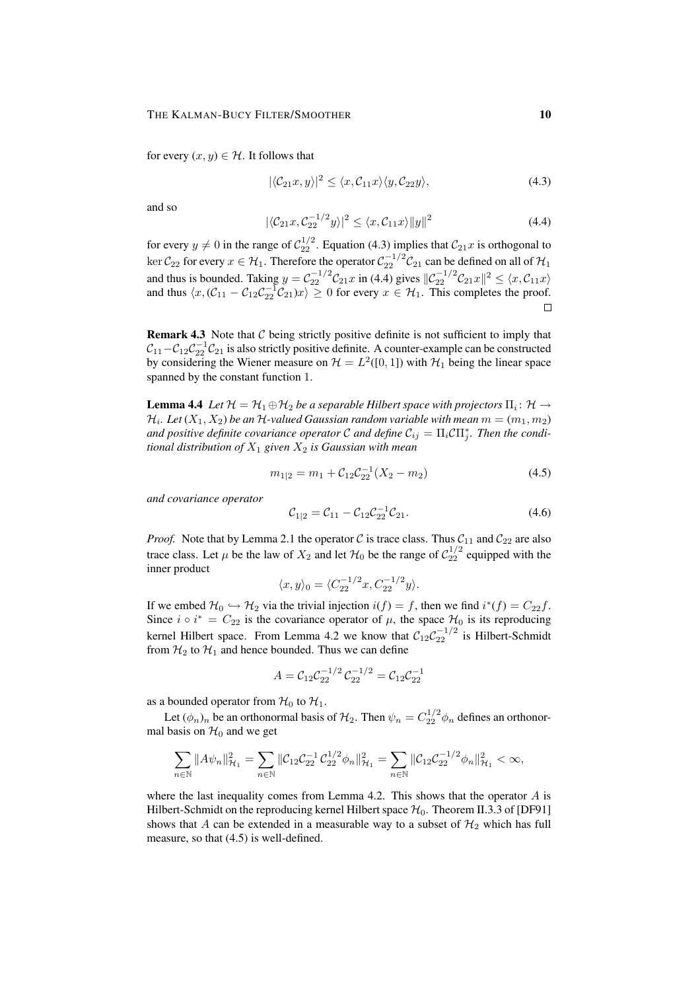for every  $(x, y) \in \mathcal{H}$ . It follows that

$$
|\langle \mathcal{C}_{21}x, y \rangle|^2 \le \langle x, \mathcal{C}_{11}x \rangle \langle y, \mathcal{C}_{22}y \rangle, \tag{4.3}
$$

and so

$$
|\langle \mathcal{C}_{21}x, \mathcal{C}_{22}^{-1/2}y \rangle|^2 \le \langle x, \mathcal{C}_{11}x \rangle ||y||^2 \tag{4.4}
$$

for every  $y \neq 0$  in the range of  $C_{22}^{1/2}$ . Equation (4.3) implies that  $C_{21}x$  is orthogonal to ker  $C_{22}$  for every  $x \in \mathcal{H}_1$ . Therefore the operator  $C_{22}^{-1/2}C_{21}$  can be defined on all of  $\mathcal{H}_1$ and thus is bounded. Taking  $y = C_{22}^{-1/2} C_{21} x$  in (4.4) gives  $||C_{22}^{-1/2} C_{21} x||^2 \le \langle x, C_{11} x \rangle$ and thus  $\langle x, (C_{11} - C_{12}C_{22}^{-1}C_{21})x \rangle \ge 0$  for every  $x \in \mathcal{H}_1$ . This completes the proof.

**Remark 4.3** Note that  $C$  being strictly positive definite is not sufficient to imply that  $C_{11}-C_{12}C_{22}^{-1}C_{21}$  is also strictly positive definite. A counter-example can be constructed by considering the Wiener measure on  $\mathcal{H} = L^2([0,1])$  with  $\mathcal{H}_1$  being the linear space spanned by the constant function 1.

**Lemma 4.4** Let  $\mathcal{H}=\mathcal{H}_1\oplus\mathcal{H}_2$  be a separable Hilbert space with projectors  $\Pi_i\colon \mathcal{H}\to$  $\mathcal{H}_i$ . Let  $(X_1,X_2)$  be an  $\mathcal{H}$ -valued Gaussian random variable with mean  $m=(m_1,m_2)$ and positive definite covariance operator  $\mathcal C$  and define  $\mathcal C_{ij} = \Pi_i \mathcal C \Pi_j^*$ . Then the condi*tional distribution of*  $X_1$  *given*  $X_2$  *is Gaussian with mean* 

$$
m_{1|2} = m_1 + C_{12} C_{22}^{-1} (X_2 - m_2)
$$
\n(4.5)

*and covariance operator*

$$
C_{1|2} = C_{11} - C_{12} C_{22}^{-1} C_{21}.
$$
\n(4.6)

*Proof.* Note that by Lemma 2.1 the operator C is trace class. Thus  $C_{11}$  and  $C_{22}$  are also trace class. Let  $\mu$  be the law of  $X_2$  and let  $\mathcal{H}_0$  be the range of  $\mathcal{C}_{22}^{1/2}$  equipped with the inner product

$$
\langle x, y \rangle_0 = \langle C_{22}^{-1/2} x, C_{22}^{-1/2} y \rangle.
$$

If we embed  $\mathcal{H}_0 \hookrightarrow \mathcal{H}_2$  via the trivial injection  $i(f) = f$ , then we find  $i^*(f) = C_{22}f$ . Since  $i \circ i^* = C_{22}$  is the covariance operator of  $\mu$ , the space  $\mathcal{H}_0$  is its reproducing kernel Hilbert space. From Lemma 4.2 we know that  $C_{12}C_{22}^{-1/2}$  is Hilbert-Schmidt from  $H_2$  to  $H_1$  and hence bounded. Thus we can define

$$
A = \mathcal{C}_{12} \mathcal{C}_{22}^{-1/2} \mathcal{C}_{22}^{-1/2} = \mathcal{C}_{12} \mathcal{C}_{22}^{-1}
$$

as a bounded operator from  $\mathcal{H}_0$  to  $\mathcal{H}_1$ .

Let  $(\phi_n)_n$  be an orthonormal basis of  $\mathcal{H}_2$ . Then  $\psi_n = C_{22}^{1/2} \phi_n$  defines an orthonormal basis on  $H_0$  and we get

$$
\sum_{n\in\mathbb{N}}||A\psi_n||_{\mathcal{H}_1}^2 = \sum_{n\in\mathbb{N}}||\mathcal{C}_{12}\mathcal{C}_{22}^{-1}\mathcal{C}_{22}^{1/2}\phi_n||_{\mathcal{H}_1}^2 = \sum_{n\in\mathbb{N}}||\mathcal{C}_{12}\mathcal{C}_{22}^{-1/2}\phi_n||_{\mathcal{H}_1}^2 < \infty,
$$

where the last inequality comes from Lemma 4.2. This shows that the operator  $\vec{A}$  is Hilbert-Schmidt on the reproducing kernel Hilbert space  $\mathcal{H}_0$ . Theorem II.3.3 of [DF91] shows that A can be extended in a measurable way to a subset of  $H_2$  which has full measure, so that (4.5) is well-defined.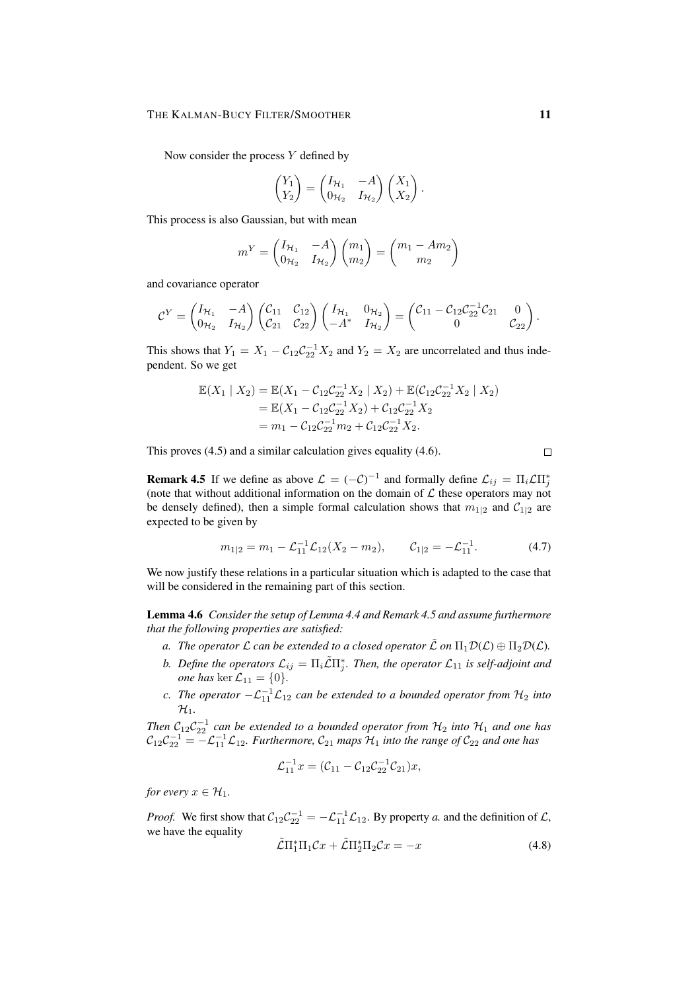Now consider the process  $Y$  defined by

$$
\begin{pmatrix} Y_1 \\ Y_2 \end{pmatrix} = \begin{pmatrix} I_{\mathcal{H}_1} & -A \\ 0_{\mathcal{H}_2} & I_{\mathcal{H}_2} \end{pmatrix} \begin{pmatrix} X_1 \\ X_2 \end{pmatrix}.
$$

This process is also Gaussian, but with mean

$$
m^Y = \begin{pmatrix} I_{\mathcal{H}_1} & -A \\ 0_{\mathcal{H}_2} & I_{\mathcal{H}_2} \end{pmatrix} \begin{pmatrix} m_1 \\ m_2 \end{pmatrix} = \begin{pmatrix} m_1 - Am_2 \\ m_2 \end{pmatrix}
$$

and covariance operator

$$
C^{Y} = \begin{pmatrix} I_{\mathcal{H}_{1}} & -A \\ 0_{\mathcal{H}_{2}} & I_{\mathcal{H}_{2}} \end{pmatrix} \begin{pmatrix} C_{11} & C_{12} \\ C_{21} & C_{22} \end{pmatrix} \begin{pmatrix} I_{\mathcal{H}_{1}} & 0_{\mathcal{H}_{2}} \\ -A^{*} & I_{\mathcal{H}_{2}} \end{pmatrix} = \begin{pmatrix} C_{11} - C_{12}C_{22}^{-1}C_{21} & 0 \\ 0 & C_{22} \end{pmatrix}.
$$

This shows that  $Y_1 = X_1 - C_{12}C_{22}^{-1}X_2$  and  $Y_2 = X_2$  are uncorrelated and thus independent. So we get

$$
\mathbb{E}(X_1 | X_2) = \mathbb{E}(X_1 - C_{12}C_{22}^{-1}X_2 | X_2) + \mathbb{E}(C_{12}C_{22}^{-1}X_2 | X_2)
$$
  
=  $\mathbb{E}(X_1 - C_{12}C_{22}^{-1}X_2) + C_{12}C_{22}^{-1}X_2$   
=  $m_1 - C_{12}C_{22}^{-1}m_2 + C_{12}C_{22}^{-1}X_2.$ 

This proves (4.5) and a similar calculation gives equality (4.6).

**Remark 4.5** If we define as above  $\mathcal{L} = (-\mathcal{C})^{-1}$  and formally define  $\mathcal{L}_{ij} = \Pi_i \mathcal{L} \Pi_j^*$ (note that without additional information on the domain of  $\mathcal L$  these operators may not be densely defined), then a simple formal calculation shows that  $m_{1|2}$  and  $C_{1|2}$  are expected to be given by

$$
m_{1|2} = m_1 - \mathcal{L}_{11}^{-1} \mathcal{L}_{12} (X_2 - m_2), \qquad \mathcal{C}_{1|2} = -\mathcal{L}_{11}^{-1}.
$$
 (4.7)

We now justify these relations in a particular situation which is adapted to the case that will be considered in the remaining part of this section.

Lemma 4.6 *Consider the setup of Lemma 4.4 and Remark 4.5 and assume furthermore that the following properties are satisfied:*

- *a.* The operator  $\mathcal L$  *can be extended to a closed operator*  $\tilde{\mathcal L}$  *on*  $\Pi_1 \mathcal D(\mathcal L) \oplus \Pi_2 \mathcal D(\mathcal L)$ *.*
- b. Define the operators  $\mathcal{L}_{ij} = \Pi_i \tilde{\mathcal{L}} \Pi_j^*$ . Then, the operator  $\mathcal{L}_{11}$  is self-adjoint and *one has* ker  $\mathcal{L}_{11} = \{0\}$ *.*
- *c.* The operator  $-\mathcal{L}_{11}^{-1}\mathcal{L}_{12}$  can be extended to a bounded operator from  $\mathcal{H}_2$  into  $\mathcal{H}_1$ .

*Then*  $C_{12}C_{22}^{-1}$  can be extended to a bounded operator from  $H_2$  into  $H_1$  and one has  $C_{12}C_{22}^{-1} = -\mathcal{L}_{11}^{-1}\mathcal{L}_{12}$ . Furthermore,  $\mathcal{C}_{21}$  maps  $\mathcal{H}_1$  into the range of  $\mathcal{C}_{22}$  and one has

$$
\mathcal{L}_{11}^{-1}x = (\mathcal{C}_{11} - \mathcal{C}_{12}\mathcal{C}_{22}^{-1}\mathcal{C}_{21})x,
$$

*for every*  $x \in \mathcal{H}_1$ *.* 

*Proof.* We first show that  $C_{12}C_{22}^{-1} = -\mathcal{L}_{11}^{-1}\mathcal{L}_{12}$ . By property *a*. and the definition of  $\mathcal{L}$ , we have the equality

$$
\tilde{\mathcal{L}}\Pi_1^*\Pi_1\mathcal{C}x + \tilde{\mathcal{L}}\Pi_2^*\Pi_2\mathcal{C}x = -x \tag{4.8}
$$

 $\Box$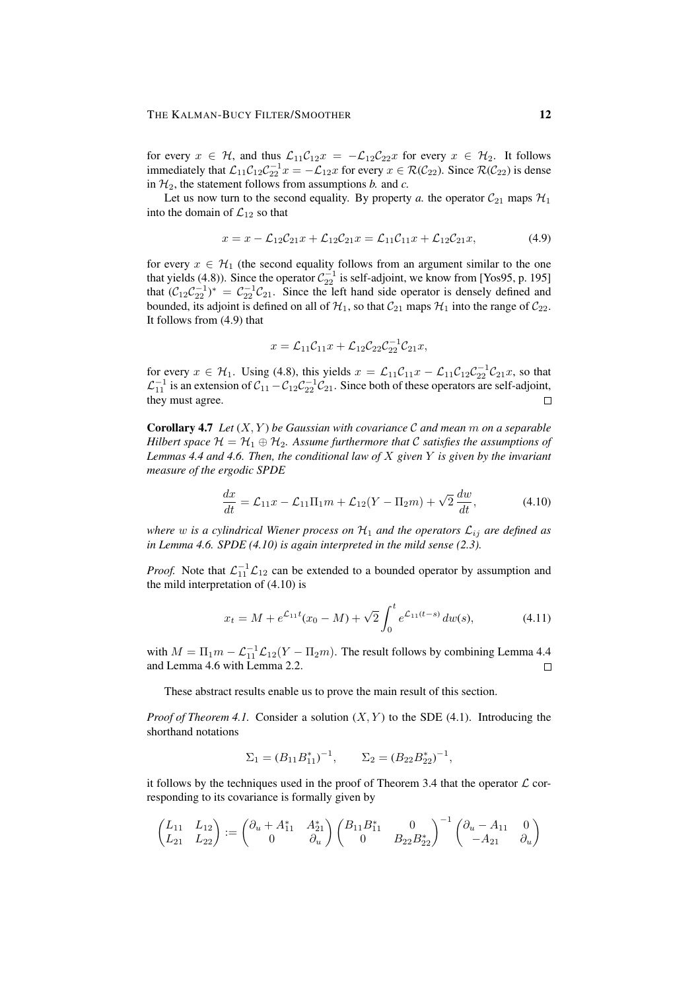for every  $x \in H$ , and thus  $\mathcal{L}_{11}\mathcal{C}_{12}x = -\mathcal{L}_{12}\mathcal{C}_{22}x$  for every  $x \in H_2$ . It follows immediately that  $\mathcal{L}_{11}\mathcal{C}_{12}\mathcal{C}_{22}^{-1}x = -\mathcal{L}_{12}x$  for every  $x \in \mathcal{R}(\mathcal{C}_{22})$ . Since  $\mathcal{R}(\mathcal{C}_{22})$  is dense in  $H_2$ , the statement follows from assumptions *b*. and *c*.

Let us now turn to the second equality. By property *a*. the operator  $C_{21}$  maps  $\mathcal{H}_1$ into the domain of  $\mathcal{L}_{12}$  so that

$$
x = x - \mathcal{L}_{12}\mathcal{C}_{21}x + \mathcal{L}_{12}\mathcal{C}_{21}x = \mathcal{L}_{11}\mathcal{C}_{11}x + \mathcal{L}_{12}\mathcal{C}_{21}x, \tag{4.9}
$$

for every  $x \in H_1$  (the second equality follows from an argument similar to the one that yields (4.8)). Since the operator  $C_{22}^{-1}$  is self-adjoint, we know from [Yos95, p. 195] that  $(C_{12}C_{22}^{-1})^* = C_{22}^{-1}C_{21}$ . Since the left hand side operator is densely defined and bounded, its adjoint is defined on all of  $\mathcal{H}_1$ , so that  $\mathcal{C}_{21}$  maps  $\mathcal{H}_1$  into the range of  $\mathcal{C}_{22}$ . It follows from (4.9) that

$$
x = \mathcal{L}_{11}\mathcal{C}_{11}x + \mathcal{L}_{12}\mathcal{C}_{22}\mathcal{C}_{22}^{-1}\mathcal{C}_{21}x,
$$

for every  $x \in \mathcal{H}_1$ . Using (4.8), this yields  $x = \mathcal{L}_{11}\mathcal{C}_{11}x - \mathcal{L}_{11}\mathcal{C}_{12}\mathcal{C}_{22}^{-1}\mathcal{C}_{21}x$ , so that  $\mathcal{L}_{11}^{-1}$  is an extension of  $\mathcal{C}_{11} - \mathcal{C}_{12} \mathcal{C}_{22}^{-1} \mathcal{C}_{21}$ . Since both of these operators are self-adjoint, they must agree.

Corollary 4.7 *Let* (X, Y ) *be Gaussian with covariance* C *and mean* m *on a separable Hilbert space*  $\mathcal{H} = \mathcal{H}_1 \oplus \mathcal{H}_2$ . Assume furthermore that C satisfies the assumptions of *Lemmas 4.4 and 4.6. Then, the conditional law of* X *given* Y *is given by the invariant measure of the ergodic SPDE*

$$
\frac{dx}{dt} = \mathcal{L}_{11}x - \mathcal{L}_{11}\Pi_1m + \mathcal{L}_{12}(Y - \Pi_2m) + \sqrt{2}\frac{dw}{dt},
$$
\n(4.10)

*where* w is a cylindrical Wiener process on  $\mathcal{H}_1$  and the operators  $\mathcal{L}_{ij}$  are defined as *in Lemma 4.6. SPDE (4.10) is again interpreted in the mild sense (2.3).*

*Proof.* Note that  $\mathcal{L}_{11}^{-1}\mathcal{L}_{12}$  can be extended to a bounded operator by assumption and the mild interpretation of (4.10) is

$$
x_t = M + e^{\mathcal{L}_{11}t}(x_0 - M) + \sqrt{2} \int_0^t e^{\mathcal{L}_{11}(t-s)} \, dw(s), \tag{4.11}
$$

with  $M = \Pi_1 m - \mathcal{L}_{11}^{-1} \mathcal{L}_{12}(Y - \Pi_2 m)$ . The result follows by combining Lemma 4.4 and Lemma 4.6 with Lemma 2.2.  $\Box$ 

These abstract results enable us to prove the main result of this section.

*Proof of Theorem 4.1.* Consider a solution  $(X, Y)$  to the SDE (4.1). Introducing the shorthand notations

$$
\Sigma_1 = (B_{11}B_{11}^*)^{-1}, \qquad \Sigma_2 = (B_{22}B_{22}^*)^{-1},
$$

it follows by the techniques used in the proof of Theorem 3.4 that the operator  $\mathcal L$  corresponding to its covariance is formally given by

$$
\begin{pmatrix} L_{11} & L_{12} \\ L_{21} & L_{22} \end{pmatrix} := \begin{pmatrix} \partial_u + A_{11}^* & A_{21}^* \\ 0 & \partial_u \end{pmatrix} \begin{pmatrix} B_{11}B_{11}^* & 0 \\ 0 & B_{22}B_{22}^* \end{pmatrix}^{-1} \begin{pmatrix} \partial_u - A_{11} & 0 \\ -A_{21} & \partial_u \end{pmatrix}
$$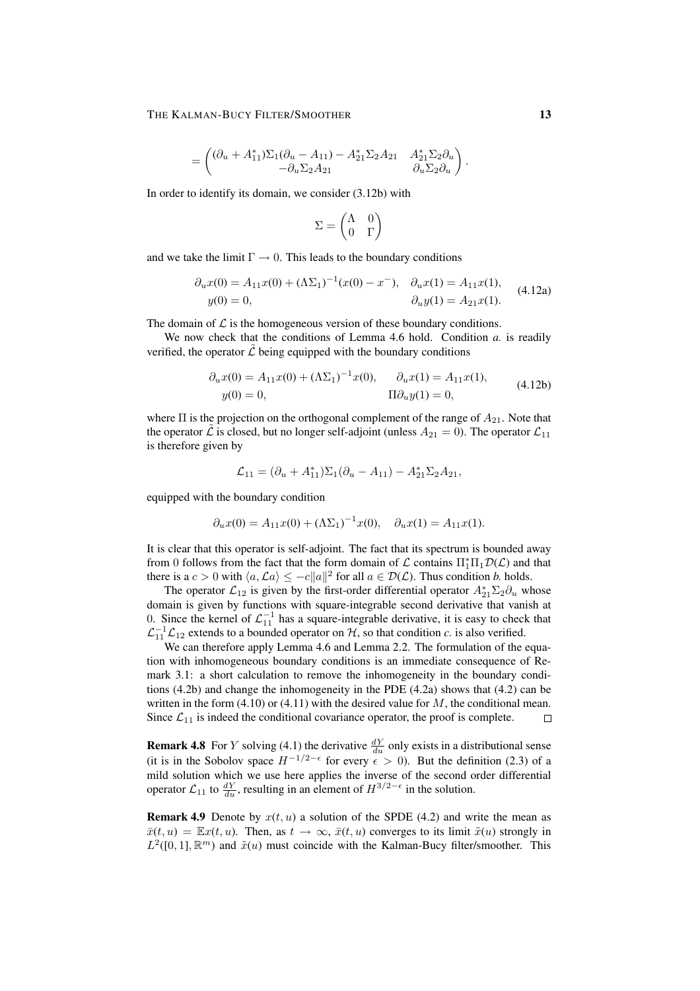$$
= \begin{pmatrix} (\partial_u + A_{11}^*) \Sigma_1 (\partial_u - A_{11}) - A_{21}^* \Sigma_2 A_{21} & A_{21}^* \Sigma_2 \partial_u \\ -\partial_u \Sigma_2 A_{21} & \partial_u \Sigma_2 \partial_u \end{pmatrix}.
$$

In order to identify its domain, we consider (3.12b) with

$$
\Sigma = \begin{pmatrix} \Lambda & 0 \\ 0 & \Gamma \end{pmatrix}
$$

and we take the limit  $\Gamma \rightarrow 0$ . This leads to the boundary conditions

$$
\partial_u x(0) = A_{11}x(0) + (\Lambda \Sigma_1)^{-1}(x(0) - x^-), \quad \partial_u x(1) = A_{11}x(1),
$$
  
\n
$$
y(0) = 0, \qquad \qquad \partial_u y(1) = A_{21}x(1).
$$
\n(4.12a)

The domain of  $\mathcal L$  is the homogeneous version of these boundary conditions.

We now check that the conditions of Lemma 4.6 hold. Condition *a.* is readily verified, the operator  $\mathcal L$  being equipped with the boundary conditions

$$
\partial_u x(0) = A_{11}x(0) + (\Lambda \Sigma_1)^{-1}x(0), \qquad \partial_u x(1) = A_{11}x(1),
$$
  
\n
$$
y(0) = 0, \qquad \qquad \Pi \partial_u y(1) = 0,
$$
\n(4.12b)

where  $\Pi$  is the projection on the orthogonal complement of the range of  $A_{21}$ . Note that the operator  $\hat{\mathcal{L}}$  is closed, but no longer self-adjoint (unless  $A_{21} = 0$ ). The operator  $\mathcal{L}_{11}$ is therefore given by

$$
\mathcal{L}_{11} = (\partial_u + A_{11}^*) \Sigma_1 (\partial_u - A_{11}) - A_{21}^* \Sigma_2 A_{21},
$$

equipped with the boundary condition

$$
\partial_u x(0) = A_{11}x(0) + (\Lambda \Sigma_1)^{-1}x(0), \quad \partial_u x(1) = A_{11}x(1).
$$

It is clear that this operator is self-adjoint. The fact that its spectrum is bounded away from 0 follows from the fact that the form domain of  $\mathcal L$  contains  $\Pi_1^* \Pi_1 \mathcal D(\mathcal L)$  and that there is a  $c > 0$  with  $\langle a, \mathcal{L}a \rangle \le -c||a||^2$  for all  $a \in \mathcal{D}(\mathcal{L})$ . Thus condition *b*. holds.

The operator  $\mathcal{L}_{12}$  is given by the first-order differential operator  $A_{21}^* \Sigma_2 \partial_u$  whose domain is given by functions with square-integrable second derivative that vanish at 0. Since the kernel of  $\mathcal{L}_{11}^{-1}$  has a square-integrable derivative, it is easy to check that  $\mathcal{L}_{11}^{-1}\mathcal{L}_{12}$  extends to a bounded operator on  $\mathcal{H}$ , so that condition *c*. is also verified.

We can therefore apply Lemma 4.6 and Lemma 2.2. The formulation of the equation with inhomogeneous boundary conditions is an immediate consequence of Remark 3.1: a short calculation to remove the inhomogeneity in the boundary conditions  $(4.2b)$  and change the inhomogeneity in the PDE  $(4.2a)$  shows that  $(4.2)$  can be written in the form  $(4.10)$  or  $(4.11)$  with the desired value for M, the conditional mean. Since  $\mathcal{L}_{11}$  is indeed the conditional covariance operator, the proof is complete.  $\Box$ 

**Remark 4.8** For Y solving (4.1) the derivative  $\frac{dY}{du}$  only exists in a distributional sense (it is in the Sobolov space  $H^{-1/2-\epsilon}$  for every  $\epsilon > 0$ ). But the definition (2.3) of a mild solution which we use here applies the inverse of the second order differential operator  $\mathcal{L}_{11}$  to  $\frac{dY}{du}$ , resulting in an element of  $H^{3/2-\epsilon}$  in the solution.

**Remark 4.9** Denote by  $x(t, u)$  a solution of the SPDE (4.2) and write the mean as  $\bar{x}(t, u) = \mathbb{E}x(t, u)$ . Then, as  $t \to \infty$ ,  $\bar{x}(t, u)$  converges to its limit  $\tilde{x}(u)$  strongly in  $L^2([0,1],\mathbb{R}^m)$  and  $\tilde{x}(u)$  must coincide with the Kalman-Bucy filter/smoother. This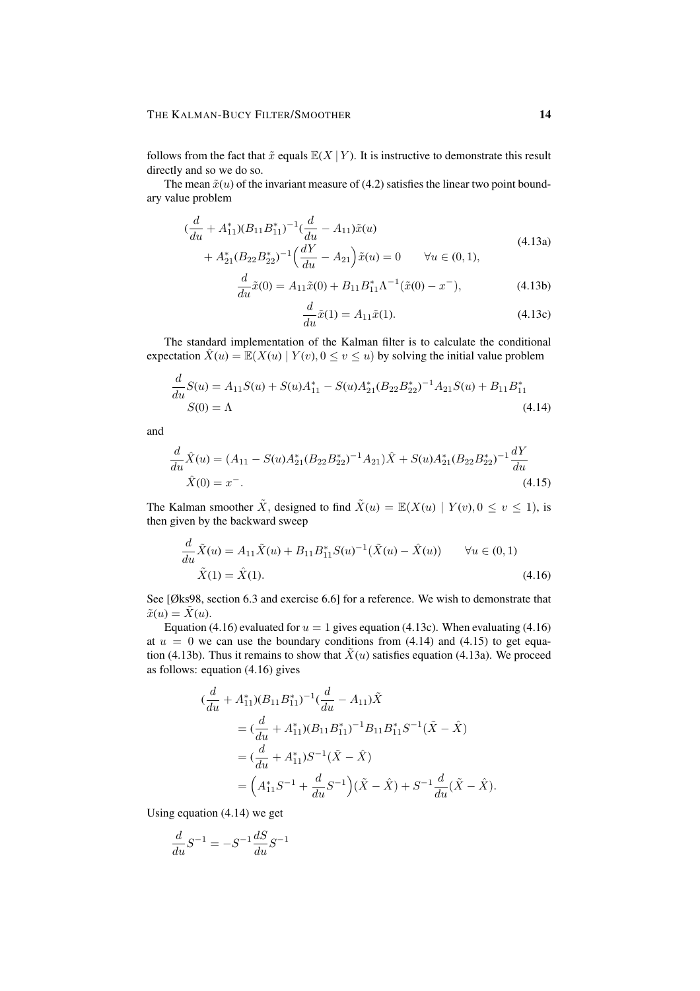follows from the fact that  $\tilde{x}$  equals  $\mathbb{E}(X | Y)$ . It is instructive to demonstrate this result directly and so we do so.

The mean  $\tilde{x}(u)$  of the invariant measure of (4.2) satisfies the linear two point boundary value problem

$$
\begin{aligned} \left(\frac{d}{du} + A_{11}^*(B_{11}B_{11}^*)^{-1}\left(\frac{d}{du} - A_{11}\right)\tilde{x}(u) \\ &+ A_{21}^*(B_{22}B_{22}^*)^{-1}\left(\frac{dY}{du} - A_{21}\right)\tilde{x}(u) = 0 \qquad \forall u \in (0,1), \end{aligned} \tag{4.13a}
$$

$$
\frac{d}{du}\tilde{x}(0) = A_{11}\tilde{x}(0) + B_{11}B_{11}^*\Lambda^{-1}(\tilde{x}(0) - x^-),
$$
\n(4.13b)

$$
\frac{d}{du}\tilde{x}(1) = A_{11}\tilde{x}(1).
$$
 (4.13c)

The standard implementation of the Kalman filter is to calculate the conditional expectation  $\hat{X}(u) = \mathbb{E}(X(u) | Y(v), 0 \le v \le u)$  by solving the initial value problem

$$
\frac{d}{du}S(u) = A_{11}S(u) + S(u)A_{11}^* - S(u)A_{21}^*(B_{22}B_{22}^*)^{-1}A_{21}S(u) + B_{11}B_{11}^*
$$
\n
$$
S(0) = \Lambda
$$
\n(4.14)

and

$$
\frac{d}{du}\hat{X}(u) = (A_{11} - S(u)A_{21}^*(B_{22}B_{22}^*)^{-1}A_{21})\hat{X} + S(u)A_{21}^*(B_{22}B_{22}^*)^{-1}\frac{dY}{du}
$$
  

$$
\hat{X}(0) = x^-.
$$
 (4.15)

The Kalman smoother  $\tilde{X}$ , designed to find  $\tilde{X}(u) = \mathbb{E}(X(u) | Y(v), 0 \le v \le 1)$ , is then given by the backward sweep

$$
\frac{d}{du}\tilde{X}(u) = A_{11}\tilde{X}(u) + B_{11}B_{11}^{*}S(u)^{-1}(\tilde{X}(u) - \hat{X}(u)) \qquad \forall u \in (0, 1)
$$
\n
$$
\tilde{X}(1) = \hat{X}(1). \tag{4.16}
$$

See [Øks98, section 6.3 and exercise 6.6] for a reference. We wish to demonstrate that  $\tilde{x}(u) = \tilde{X}(u).$ 

Equation (4.16) evaluated for  $u = 1$  gives equation (4.13c). When evaluating (4.16) at  $u = 0$  we can use the boundary conditions from (4.14) and (4.15) to get equation (4.13b). Thus it remains to show that  $\tilde{X}(u)$  satisfies equation (4.13a). We proceed as follows: equation (4.16) gives

$$
\begin{split} (\frac{d}{du} + A_{11}^*)(B_{11}B_{11}^*)^{-1}(\frac{d}{du} - A_{11})\tilde{X} \\ &= (\frac{d}{du} + A_{11}^*)(B_{11}B_{11}^*)^{-1}B_{11}B_{11}^*S^{-1}(\tilde{X} - \hat{X}) \\ &= (\frac{d}{du} + A_{11}^*)S^{-1}(\tilde{X} - \hat{X}) \\ &= \left(A_{11}^*S^{-1} + \frac{d}{du}S^{-1}\right)(\tilde{X} - \hat{X}) + S^{-1}\frac{d}{du}(\tilde{X} - \hat{X}). \end{split}
$$

Using equation (4.14) we get

$$
\frac{d}{du}S^{-1} = -S^{-1}\frac{dS}{du}S^{-1}
$$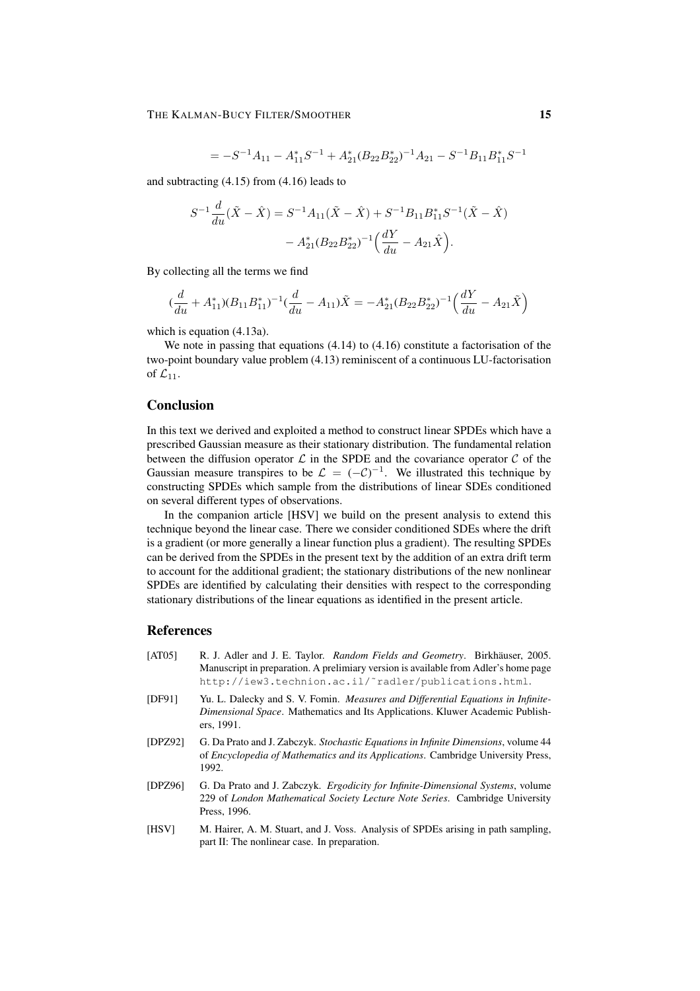$$
= -S^{-1}A_{11} - A_{11}^*S^{-1} + A_{21}^*(B_{22}B_{22}^*)^{-1}A_{21} - S^{-1}B_{11}B_{11}^*S^{-1}
$$

and subtracting (4.15) from (4.16) leads to

$$
S^{-1}\frac{d}{du}(\tilde{X} - \hat{X}) = S^{-1}A_{11}(\tilde{X} - \hat{X}) + S^{-1}B_{11}B_{11}^{*}S^{-1}(\tilde{X} - \hat{X})
$$

$$
- A_{21}^{*}(B_{22}B_{22}^{*})^{-1}\left(\frac{dY}{du} - A_{21}\hat{X}\right).
$$

By collecting all the terms we find

$$
(\frac{d}{du} + A_{11}^*)(B_{11}B_{11}^*)^{-1}(\frac{d}{du} - A_{11})\tilde{X} = -A_{21}^*(B_{22}B_{22}^*)^{-1}(\frac{dY}{du} - A_{21}\tilde{X})
$$

which is equation (4.13a).

We note in passing that equations (4.14) to (4.16) constitute a factorisation of the two-point boundary value problem (4.13) reminiscent of a continuous LU-factorisation of  $\mathcal{L}_{11}$ .

## **Conclusion**

In this text we derived and exploited a method to construct linear SPDEs which have a prescribed Gaussian measure as their stationary distribution. The fundamental relation between the diffusion operator  $\mathcal L$  in the SPDE and the covariance operator  $\mathcal C$  of the Gaussian measure transpires to be  $\mathcal{L} = (-\mathcal{C})^{-1}$ . We illustrated this technique by constructing SPDEs which sample from the distributions of linear SDEs conditioned on several different types of observations.

In the companion article [HSV] we build on the present analysis to extend this technique beyond the linear case. There we consider conditioned SDEs where the drift is a gradient (or more generally a linear function plus a gradient). The resulting SPDEs can be derived from the SPDEs in the present text by the addition of an extra drift term to account for the additional gradient; the stationary distributions of the new nonlinear SPDEs are identified by calculating their densities with respect to the corresponding stationary distributions of the linear equations as identified in the present article.

## References

- [AT05] R. J. Adler and J. E. Taylor. *Random Fields and Geometry*. Birkhäuser, 2005. Manuscript in preparation. A prelimiary version is available from Adler's home page http://iew3.technion.ac.il/˜radler/publications.html.
- [DF91] Yu. L. Dalecky and S. V. Fomin. *Measures and Differential Equations in Infinite-Dimensional Space*. Mathematics and Its Applications. Kluwer Academic Publishers, 1991.
- [DPZ92] G. Da Prato and J. Zabczyk. *Stochastic Equations in Infinite Dimensions*, volume 44 of *Encyclopedia of Mathematics and its Applications*. Cambridge University Press, 1992.
- [DPZ96] G. Da Prato and J. Zabczyk. *Ergodicity for Infinite-Dimensional Systems*, volume 229 of *London Mathematical Society Lecture Note Series*. Cambridge University Press, 1996.
- [HSV] M. Hairer, A. M. Stuart, and J. Voss. Analysis of SPDEs arising in path sampling, part II: The nonlinear case. In preparation.